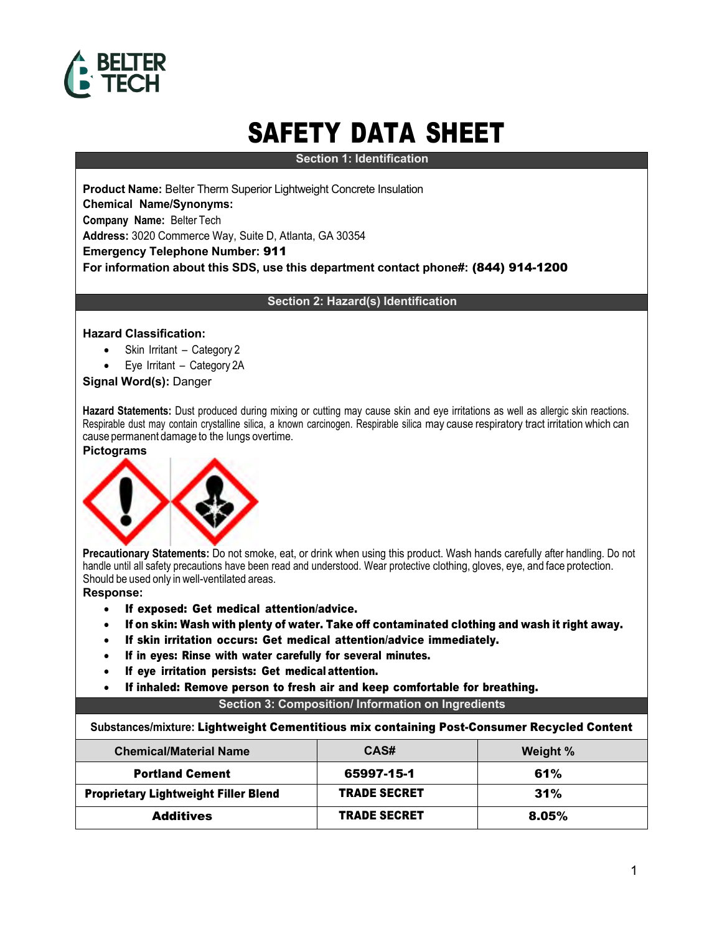

# SAFETY DATA SHEET

**Section 1: Identification**

**Product Name:** Belter Therm Superior Lightweight Concrete Insulation **Chemical Name/Synonyms: Company Name:** Belter Tech **Address:** 3020 Commerce Way, Suite D, Atlanta, GA 30354 **Emergency Telephone Number:** 911 **For information about this SDS, use this department contact phone#:** (844) 914-1200

## **Section 2: Hazard(s) Identification**

## **Hazard Classification:**

- Skin Irritant Category 2
- Eye Irritant Category 2A

**Signal Word(s):** Danger

**Hazard Statements:** Dust produced during mixing or cutting may cause skin and eye irritations as well as allergic skin reactions. Respirable dust may contain crystalline silica, a known carcinogen. Respirable silica may cause respiratory tract irritation which can cause permanent damage to the lungs overtime.

#### **Pictograms**



**Precautionary Statements:** Do not smoke, eat, or drink when using this product. Wash hands carefully after handling. Do not handle until all safety precautions have been read and understood. Wear protective clothing, gloves, eye, and face protection. Should be used only in well-ventilated areas.

**Response:**

- If exposed: Get medical attention/advice.
- If on skin: Wash with plenty of water. Take off contaminated clothing and wash it right away.
- If skin irritation occurs: Get medical attention/advice immediately.
- If in eyes: Rinse with water carefully for several minutes.
- If eye irritation persists: Get medical attention.
- If inhaled: Remove person to fresh air and keep comfortable for breathing.

## **Section 3: Composition/ Information on Ingredients**

**Substances/mixture:** Lightweight Cementitious mix containing Post-Consumer Recycled Content

| <b>Chemical/Material Name</b>               | CAS#                | Weight % |
|---------------------------------------------|---------------------|----------|
| <b>Portland Cement</b>                      | 65997-15-1          | 61%      |
| <b>Proprietary Lightweight Filler Blend</b> | <b>TRADE SECRET</b> | 31%      |
| <b>Additives</b>                            | <b>TRADE SECRET</b> | 8.05%    |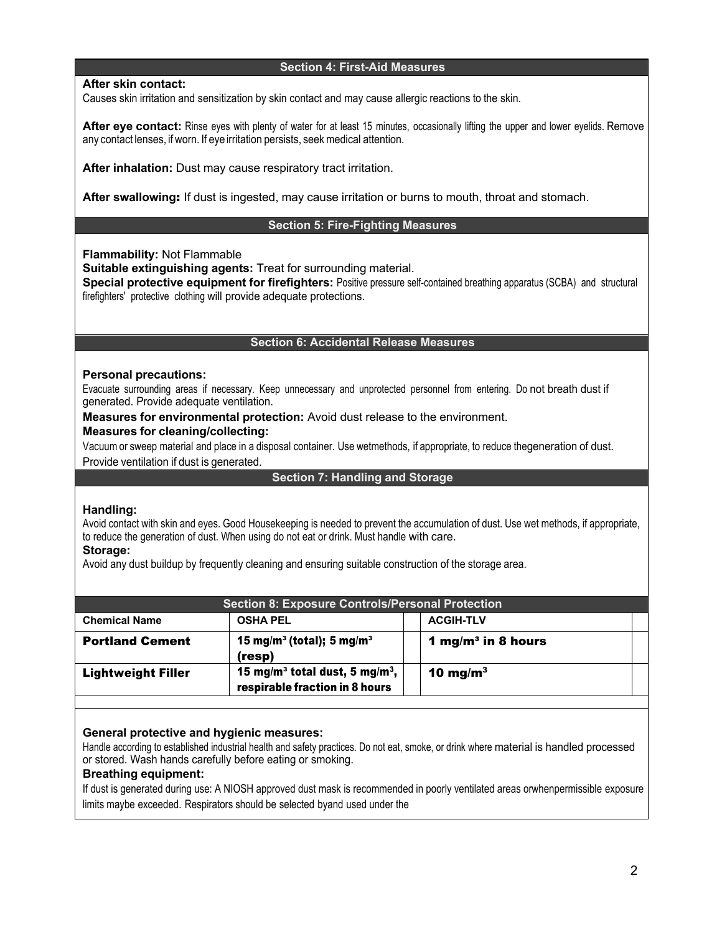# **Section 4: First-Aid Measures**

**After skin contact:**

Causes skin irritation and sensitization by skin contact and may cause allergic reactions to the skin.

**After eye contact:** Rinse eyes with plenty of water for at least 15 minutes, occasionally lifting the upper and lower eyelids. Remove any contact lenses, if worn. If eyeirritation persists, seek medical attention.

**After inhalation:** Dust may cause respiratory tract irritation.

**After swallowing**: If dust is ingested, may cause irritation or burns to mouth, throat and stomach.

# **Section 5: Fire-Fighting Measures**

**Flammability:** Not Flammable

**Suitable extinguishing agents:** Treat for surrounding material.

**Special protective equipment for firefighters:** Positive pressure self-contained breathing apparatus (SCBA) and structural firefighters' protective clothing will provide adequate protections.

## **Section 6: Accidental Release Measures**

## **Personal precautions:**

Evacuate surrounding areas if necessary. Keep unnecessary and unprotected personnel from entering. Do not breath dust if generated. Provide adequate ventilation.

**Measures for environmental protection:** Avoid dust release to the environment.

## **Measures for cleaning/collecting:**

Vacuum or sweep material and place in a disposal container. Use wetmethods, if appropriate, to reduce thegeneration of dust.

Provide ventilation if dust is generated.

# **Section 7: Handling and Storage**

## **Handling:**

Avoid contact with skin and eyes. Good Housekeeping is needed to prevent the accumulation of dust. Use wet methods, if appropriate, to reduce the generation of dust. When using do not eat or drink. Must handle with care.

## **Storage:**

Avoid any dust buildup by frequently cleaning and ensuring suitable construction of the storage area.

| <b>Section 8: Exposure Controls/Personal Protection</b> |                                                                                          |                                |  |
|---------------------------------------------------------|------------------------------------------------------------------------------------------|--------------------------------|--|
| <b>Chemical Name</b>                                    | <b>OSHA PEL</b>                                                                          | <b>ACGIH-TLV</b>               |  |
| <b>Portland Cement</b>                                  | 15 mg/m <sup>3</sup> (total); 5 mg/m <sup>3</sup><br>(resp)                              | 1 mg/m <sup>3</sup> in 8 hours |  |
| <b>Lightweight Filler</b>                               | 15 mg/m <sup>3</sup> total dust, 5 mg/m <sup>3</sup> ,<br>respirable fraction in 8 hours | 10 mg/m $^3$                   |  |

# **General protective and hygienic measures:**

Handle according to established industrial health and safety practices. Do not eat, smoke, or drink where material is handled processed or stored. Wash hands carefully before eating or smoking.

## **Breathing equipment:**

If dust is generated during use: A NIOSH approved dust mask is recommended in poorly ventilated areas orwhenpermissible exposure limits maybe exceeded. Respirators should be selected byand used under the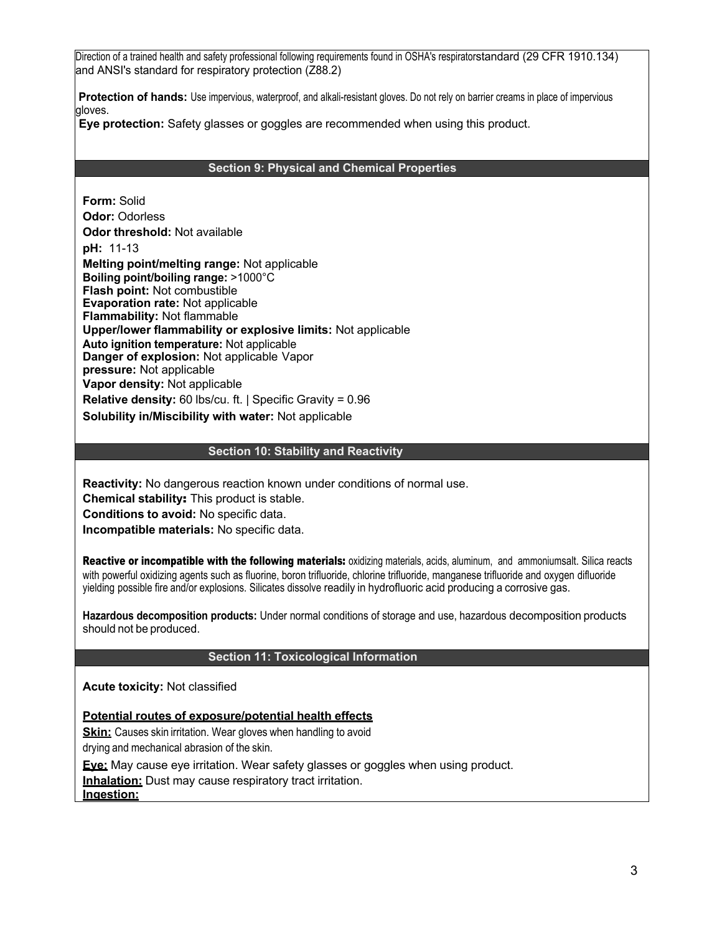Direction of a trained health and safety professional following requirements found in OSHA's respiratorstandard (29 CFR 1910.134) and ANSI's standard for respiratory protection (Z88.2)

**Protection of hands:** Use impervious, waterproof, and alkali-resistant gloves. Do not rely on barrier creams in place of impervious gloves.

**Eye protection:** Safety glasses or goggles are recommended when using this product.

#### **Section 9: Physical and Chemical Properties**

**Form:** Solid **Odor:** Odorless **Odor threshold:** Not available **pH:** 11-13 **Melting point/melting range:** Not applicable **Boiling point/boiling range:** >1000°C **Flash point:** Not combustible **Evaporation rate:** Not applicable **Flammability:** Not flammable **Upper/lower flammability or explosive limits:** Not applicable **Auto ignition temperature:** Not applicable **Danger of explosion:** Not applicable Vapor **pressure:** Not applicable **Vapor density:** Not applicable **Relative density:** 60 lbs/cu. ft. | Specific Gravity = 0.96 **Solubility in/Miscibility with water:** Not applicable

## **Section 10: Stability and Reactivity**

**Reactivity:** No dangerous reaction known under conditions of normal use.

**Chemical stability**: This product is stable.

**Conditions to avoid:** No specific data.

**Incompatible materials:** No specific data.

Reactive or incompatible with the following materials: oxidizing materials, acids, aluminum, and ammoniumsalt. Silica reacts with powerful oxidizing agents such as fluorine, boron trifluoride, chlorine trifluoride, manganese trifluoride and oxygen difluoride yielding possible fire and/or explosions. Silicates dissolve readily in hydrofluoric acid producing a corrosive gas.

**Hazardous decomposition products:** Under normal conditions of storage and use, hazardous decomposition products should not be produced.

# **Section 11: Toxicological Information**

**Acute toxicity:** Not classified

**Potential routes of exposure/potential health effects**

**Skin:** Causes skin irritation. Wear gloves when handling to avoid drying and mechanical abrasion of the skin.

**Eye:** May cause eye irritation. Wear safety glasses or goggles when using product.

**Inhalation:** Dust may cause respiratory tract irritation.

**Ingestion:**